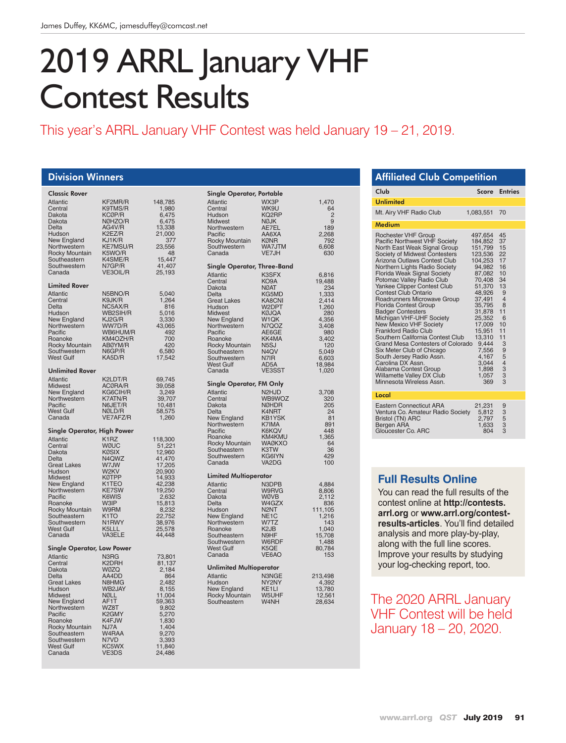# 2019 ARRL January VHF Contest Results

# This year's ARRL January VHF Contest was held January 19 – 21, 2019.

### Division Winners

| <b>Classic Rover</b><br>Atlantic                                                                                                                                                                                                                                                 |                                                                                                                                                                                                           |                                                                                                                                                             |
|----------------------------------------------------------------------------------------------------------------------------------------------------------------------------------------------------------------------------------------------------------------------------------|-----------------------------------------------------------------------------------------------------------------------------------------------------------------------------------------------------------|-------------------------------------------------------------------------------------------------------------------------------------------------------------|
| Central<br>Dakota<br>Dakota<br>Delta<br>Hudson<br>New England<br>Northwestern<br>Rocky Mountain<br>Southeastern<br>Southwestern<br>Canada                                                                                                                                        | KF2MR/R<br>K9TMS/R<br>KCØP/R<br>NØHZO/R<br>AG4V/R<br>K2EZ/R<br>KJ1K/R<br><b>KE7MSU/R</b><br>K5WO/R<br>K4SME/R<br>N7GP/R<br>VE3OIL/R                                                                       | 148,785<br>1,980<br>6,475<br>6,475<br>13,338<br>21,000<br>377<br>23,556<br>48<br>15,447<br>41,407<br>25,193                                                 |
| <b>Limited Rover</b><br>Atlantic<br>Central<br>Delta<br>Hudson<br>New England<br>Northwestern<br>Pacific<br>Roanoke<br><b>Rocky Mountain</b><br>Southwestern<br><b>West Gulf</b>                                                                                                 | N5BNO/R<br>K9JK/R<br>NC5AX/R<br>WB2SIH/R<br>KJ2G/R<br>WW7D/R<br>WB6HUM/R<br>KM4OZH/R<br>ABØYM/R<br>N6GP/R<br>KA5D/R                                                                                       | 5,040<br>1,264<br>816<br>5,016<br>3,330<br>43,065<br>492<br>700<br>420<br>6,580<br>17,542                                                                   |
| <b>Unlimited Rover</b><br>Atlantic<br><b>Midwest</b><br>New England<br>Northwestern<br>Pacific<br><b>West Gulf</b><br>Canada                                                                                                                                                     | K2LDT/R<br>ACØRA/R<br>KG6CIH/R<br>K7ATN/R<br>N6JET/R<br>NØLD/R<br>VE7AFZ/R                                                                                                                                | 69,745<br>39,058<br>3,249<br>39,707<br>10,481<br>58,575<br>1,260                                                                                            |
| Single Operator, High Power<br><b>Atlantic</b><br>Central<br>Dakota<br>Delta<br><b>Great Lakes</b><br>Hudson<br><b>Midwest</b><br>New England<br>Northwestern<br>Pacific<br>Roanoke<br>Rocky Mountain<br>Southeastern<br>Southwestern<br><b>West Gulf</b><br>Canada              | K <sub>1</sub> RZ<br>WØUC<br><b>KØSIX</b><br>N4QWZ<br>W7JW<br>W <sub>2</sub> KV<br><b>KØTPP</b><br>K1TEO<br><b>KE7SW</b><br>K6WIS<br><b>W3IP</b><br>W9RM<br>K <sub>1</sub> TO<br>N1RWY<br>K5LLL<br>VA3ELE | 118,300<br>51,221<br>12,960<br>41,470<br>17,205<br>20,900<br>14,933<br>42,238<br>19,250<br>2,632<br>15,813<br>8,232<br>22,752<br>38,976<br>25,578<br>44,448 |
| <b>Single Operator, Low Power</b><br><b>Atlantic</b><br>Central<br>Dakota<br>Delta<br><b>Great Lakes</b><br>Hudson<br><b>Midwest</b><br>New England<br>Northwestern<br>Pacific<br>Roanoke<br><b>Rocky Mountain</b><br>Southeastern<br>Southwestern<br><b>West Gulf</b><br>Canada | N3RG<br>K2DRH<br>WØZQ<br>AA4DD<br>N8HMG<br>WB2JAY<br><b>NØLL</b><br>AF1T<br>WZ8T<br>K <sub>2</sub> GMY<br>K4FJW<br>NJ7A<br>W4RAA<br>N7VD<br>KC5WX<br>VE3DS                                                | 73,801<br>81,137<br>2,184<br>864<br>2,482<br>8,155<br>11,004<br>59,363<br>9,802<br>5,270<br>1,830<br>1,404<br>9,270<br>3,393<br>11,840<br>24,486            |

| <b>Single Operator, Portable</b>   |                                       |                 |
|------------------------------------|---------------------------------------|-----------------|
|                                    |                                       |                 |
| <b>Atlantic</b><br>Central         | WX3P<br>WK9U                          | 1,470<br>64     |
| Hudson                             | KQ2RP                                 | $\overline{c}$  |
| <b>Midwest</b>                     | <b>NØJK</b>                           | 9               |
| Northwestern                       | AE7EL                                 | 189             |
| Pacific                            | AA6XA                                 | 2,268           |
| Rocky Mountain                     | <b>KØNR</b>                           | 792             |
| Southwestern                       | WA7JTM                                | 6,608           |
| Canada                             | VE7JH                                 | 630             |
| Single Operator, Three-Band        |                                       |                 |
| <b>Atlantic</b>                    | K3SFX                                 | 6,816           |
| Central                            | KO <sub>9</sub> A                     | 19,488          |
| Dakota                             | <b>NØAT</b>                           | 234             |
| Delta<br><b>Great Lakes</b>        | KG5MD<br>KA8CNI                       | 1,333<br>2,414  |
| Hudson                             | W2DPT                                 | 1,260           |
| <b>Midwest</b>                     | <b>KØJQA</b>                          | 280             |
| New England                        | W <sub>1QK</sub>                      | 4,356           |
| Northwestern                       | N7QOZ                                 | 3,408           |
| Pacific                            | AE6GE                                 | 980             |
| Roanoke                            | KK4MA                                 | 3,402           |
| <b>Rocky Mountain</b>              | N <sub>5</sub> SJ                     | 120             |
| Southeastern                       | N <sub>4</sub> QV                     | 5,049           |
| Southwestern                       | N7IR                                  | 6,603           |
| <b>West Gulf</b>                   | AD5A                                  | 18,984          |
| Canada                             | VE3SST                                | 1,020           |
| <b>Single Operator, FM Only</b>    |                                       |                 |
| <b>Atlantic</b>                    | N <sub>2</sub> HJD                    | 3,708           |
| Central                            | WB9WOZ                                | 320             |
| Dakota                             | <b>NØHDR</b>                          | 205             |
| Delta                              | K4NRT<br><b>KB1YSK</b>                | 24<br>81        |
| New England<br>Northwestern        | K7IMA                                 | 891             |
| Pacific                            | K6KQV                                 | 448             |
| Roanoke                            | KM4KMU                                | 1,365           |
| Rocky Mountain                     | <b>WAØKXO</b>                         | 64              |
| Southeastern                       | K3TW                                  | 36              |
| Southwestern                       | KG6IYN                                | 429             |
| Canada                             | VA2DG                                 | 100             |
| <b>Limited Multioperator</b>       |                                       |                 |
| <b>Atlantic</b>                    | N3DPB                                 | 4,884           |
| Central                            | W9RVG                                 | 8,806           |
| Dakota                             | <b>WØVB</b>                           | 2,112           |
| Delta                              | W4GZX                                 | 836             |
| Hudson                             | N <sub>2</sub> NT                     | 111,105         |
| <b>New England</b><br>Northwestern | NE <sub>1</sub> C                     | 1,216<br>143    |
| Roanoke                            | W7TZ<br>K <sub>2</sub> J <sub>B</sub> | 1,040           |
| Southeastern                       | N9HF                                  | 15,708          |
| Southwestern                       | W6RDF                                 |                 |
| <b>West Gulf</b>                   | K5QE                                  | 1,488<br>80,784 |
| Canada                             | VE6AO                                 | 153             |
| <b>Unlimited Multioperator</b>     |                                       |                 |
| <b>Atlantic</b>                    | N3NGE                                 | 213,498         |
| Hudson                             | NY2NY                                 |                 |
| New England                        | KE <sub>1</sub> LI                    | 4,392<br>13,780 |
| Rocky Mountain                     | W5UHF                                 | 12,561          |
| Southeastern                       | W4NH                                  | 28,634          |
|                                    |                                       |                 |
|                                    |                                       |                 |

#### Affiliated Club Competition Club Score Entries Unlimited Mt. Airy VHF Radio Club 1,083,551 70 Medium Rochester VHF Group 497,654 45<br>Pacific Northwest VHF Society 184,852 37<br>North East Weak Signal Group 151,799 15 Pacific Northwest VHF Society 184,852 37 North East Weak Signal Group 151,799 15 Society of Midwest Contesters 123,536 22 Arizona Outlaws Contest Club 104,253 17 Northern Lights Radio Society 94,982 16 Florida Weak Signal Society 87,082 10 Potomac Valley Radio Club 70,408 34 Yankee Clipper Contest Club 51,370 13 Contest Club Ontario 48,926 9<br>Roadrunners Microwave Group 48,926 9<br>Florida Contest Group 48,7491 4 Roadrunners Microwave Group 37,491 4 Florida Contest Group 35,795 8 Badger Contesters and Badger Contesters and Badger Contesters and Badger of the Michigan VHF-UHF Society and Badger and Badger and Badger and Badger and Badger and Badger and Badger and Badger and Badger and Badger and Bad Michigan VHF-UHF Society 25,352 6 New Mexico VHF Society 17,009 10 Frankford Radio Club 15,951 11<br>Southern California Contest Club 13,310 11<br>Grand Mesa Contesters of Colorado 9,444 3 Southern California Contest Club 13,310<br>Grand Mesa Contesters of Colorado 9,444 Grand Mesa Contesters of Colorado 9,444 3<br>Six Meter Club of Chicago 7,556 9 South Jersey Radio Assn. 4,167 5 Carolina DX Assn. 3,044 4 Alabama Contest Group<br>
Willamette Valley DX Club<br>
Minnesota Wireless Assn. 369 3 Willamette Valley DX Club 1,057 3 Minnesota Wireless Assn. 369 3 Local Eastern Connecticut ARA 21,231 9 Ventura Co. Amateur Radio Society 5,812 3 Ventura Co. Amateur Radio Society 5,812 3<br>Bristol (TN) ARC 2,797 5<br>Bergen ARA 2,797 5<br>Gloucester Co. ARC 604 3 Bergen ARA<br>Gloucester Co. ARC 1,633 Gloucester Co. ARC

## **Full Results Online**

You can read the full results of the contest online at **http://contests. arrl.org** or **www.arrl.org/contestresults-articles**. You'll find detailed analysis and more play-by-play, along with the full line scores. Improve your results by studying your log-checking report, too.

The 2020 ARRL January VHF Contest will be held January 18 – 20, 2020.